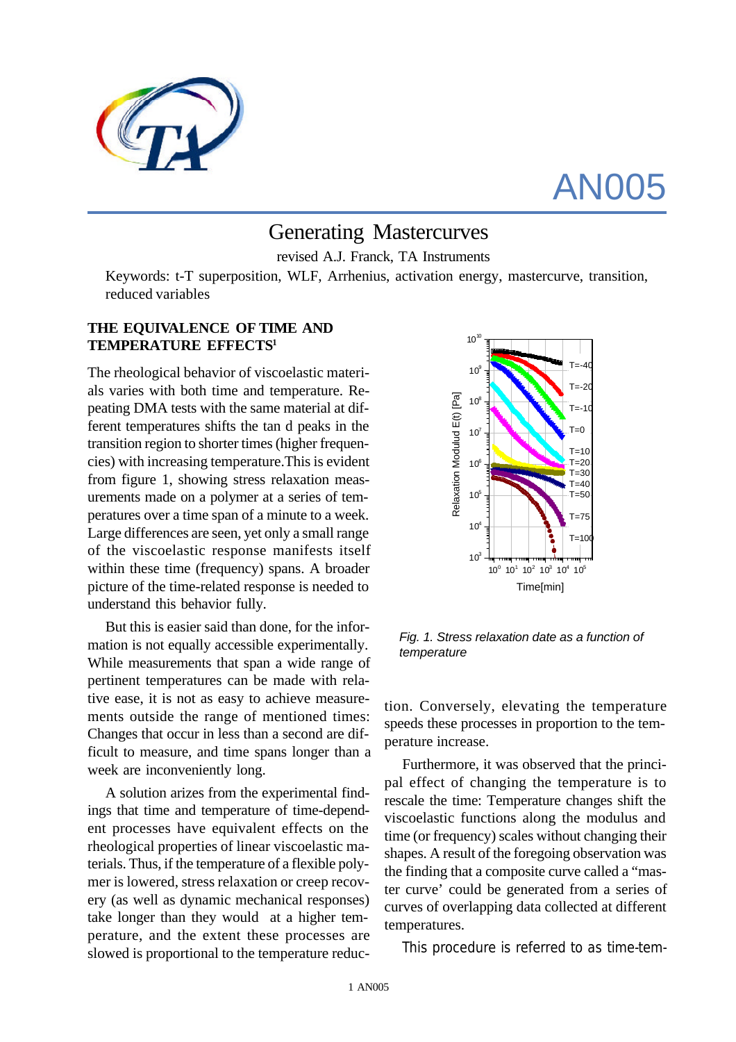

# AN005

# Generating Mastercurves

revised A.J. Franck, TA Instruments

Keywords: t-T superposition, WLF, Arrhenius, activation energy, mastercurve, transition, reduced variables

### **THE EQUIVALENCE OF TIME AND TEMPERATURE EFFECTS<sup>1</sup>**

The rheological behavior of viscoelastic materials varies with both time and temperature. Repeating DMA tests with the same material at different temperatures shifts the tan d peaks in the transition region to shorter times (higher frequencies) with increasing temperature.This is evident from figure 1, showing stress relaxation measurements made on a polymer at a series of temperatures over a time span of a minute to a week. Large differences are seen, yet only a small range of the viscoelastic response manifests itself within these time (frequency) spans. A broader picture of the time-related response is needed to understand this behavior fully.

But this is easier said than done, for the information is not equally accessible experimentally. While measurements that span a wide range of pertinent temperatures can be made with relative ease, it is not as easy to achieve measurements outside the range of mentioned times: Changes that occur in less than a second are difficult to measure, and time spans longer than a week are inconveniently long.

A solution arizes from the experimental findings that time and temperature of time-dependent processes have equivalent effects on the rheological properties of linear viscoelastic materials. Thus, if the temperature of a flexible polymer is lowered, stress relaxation or creep recovery (as well as dynamic mechanical responses) take longer than they would at a higher temperature, and the extent these processes are slowed is proportional to the temperature reduc-



*Fig. 1. Stress relaxation date as a function of temperature*

tion. Conversely, elevating the temperature speeds these processes in proportion to the temperature increase.

Furthermore, it was observed that the principal effect of changing the temperature is to rescale the time: Temperature changes shift the viscoelastic functions along the modulus and time (or frequency) scales without changing their shapes. A result of the foregoing observation was the finding that a composite curve called a "master curve' could be generated from a series of curves of overlapping data collected at different temperatures.

This procedure is referred to as time-tem-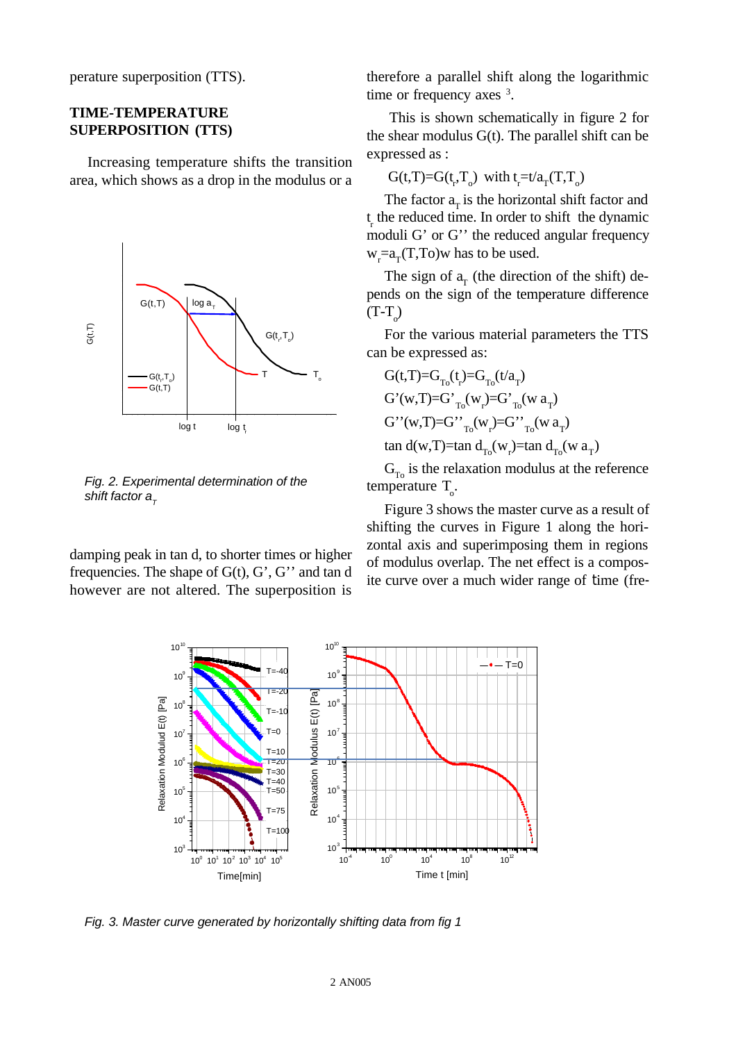perature superposition (TTS).

#### **TIME-TEMPERATURE SUPERPOSITION (TTS)**

Increasing temperature shifts the transition area, which shows as a drop in the modulus or a



*Fig. 2. Experimental determination of the shift factor a*<sub> $\tau$ </sub>

damping peak in tan d, to shorter times or higher frequencies. The shape of  $G(t)$ ,  $G'$ ,  $G''$  and tan d however are not altered. The superposition is therefore a parallel shift along the logarithmic time or frequency axes  $3$ .

 This is shown schematically in figure 2 for the shear modulus  $G(t)$ . The parallel shift can be expressed as :

$$
G(t,T)=G(t_r,T_o) \text{ with } t_r=t/a_T(T,T_o)
$$

The factor  $a_{\rm r}$  is the horizontal shift factor and  $t_r$  the reduced time. In order to shift the dynamic moduli G' or G'' the reduced angular frequency  $w_r = a_T(T,To)$  has to be used.

The sign of  $a_T$  (the direction of the shift) depends on the sign of the temperature difference  $(T-T_0)$ 

For the various material parameters the TTS can be expressed as:

$$
G(t,T)=G_{T_0}(t)-G_{T_0}(t/a_T)
$$
  
\n
$$
G'(w,T)=G'_{T_0}(w_r)=G'_{T_0}(w a_T)
$$
  
\n
$$
G''(w,T)=G''_{T_0}(w_r)=G''_{T_0}(w a_T)
$$
  
\ntan d(w,T)=tan d<sub>T\_0</sub>(w<sub>r</sub>)=tan d<sub>T\_0</sub>(w a<sub>T</sub>)

 $G_{T_0}$  is the relaxation modulus at the reference temperature  $T_{o}$ .

Figure 3 shows the master curve as a result of shifting the curves in Figure 1 along the horizontal axis and superimposing them in regions of modulus overlap. The net effect is a composite curve over a much wider range of time (fre-



*Fig. 3. Master curve generated by horizontally shifting data from fig 1*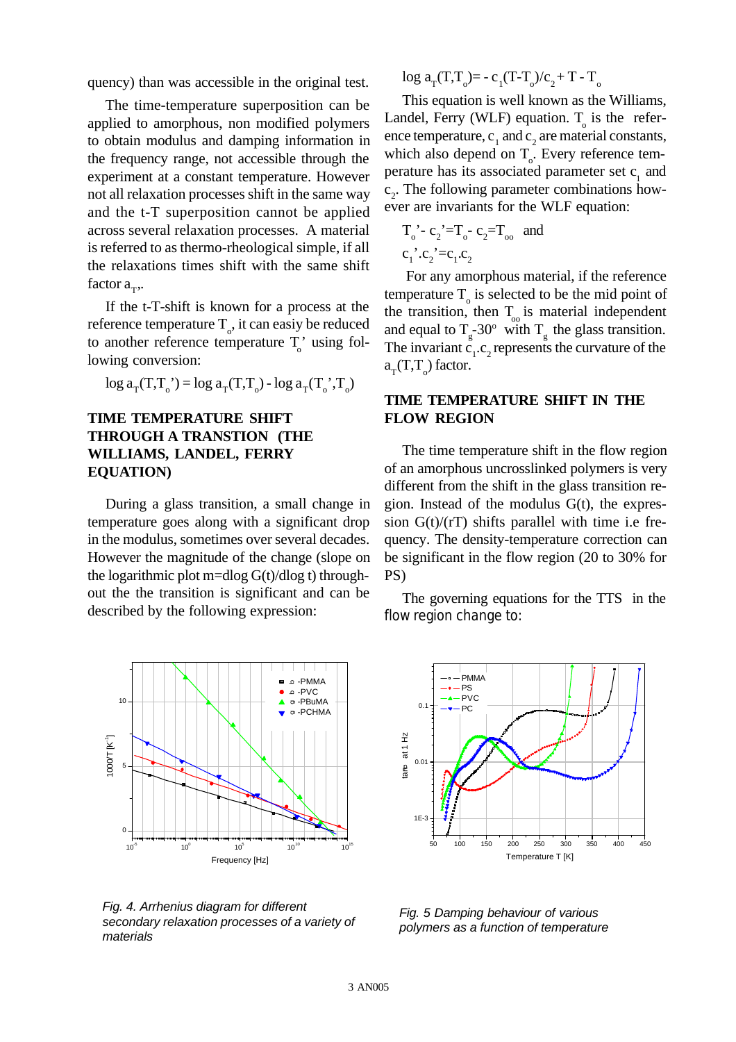quency) than was accessible in the original test.

The time-temperature superposition can be applied to amorphous, non modified polymers to obtain modulus and damping information in the frequency range, not accessible through the experiment at a constant temperature. However not all relaxation processes shift in the same way and the t-T superposition cannot be applied across several relaxation processes. A material is referred to as thermo-rheological simple, if all the relaxations times shift with the same shift factor  $a_T$ ,.

If the t-T-shift is known for a process at the reference temperature  $T_{o}$ , it can easiy be reduced to another reference temperature  $T_o'$  using following conversion:

$$
\log a_{\rm T}(T, T_{\rm o}) = \log a_{\rm T}(T, T_{\rm o}) - \log a_{\rm T}(T_{\rm o}', T_{\rm o})
$$

# **TIME TEMPERATURE SHIFT THROUGH A TRANSTION (THE WILLIAMS, LANDEL, FERRY EQUATION)**

During a glass transition, a small change in temperature goes along with a significant drop in the modulus, sometimes over several decades. However the magnitude of the change (slope on the logarithmic plot m=dlog  $G(t)/dlog t$ ) throughout the the transition is significant and can be described by the following expression:



*Fig. 4. Arrhenius diagram for different secondary relaxation processes of a variety of materials*

 $\log a_{\rm T}(\rm T, \rm T_o) = -c_1(\rm T-T_o)/c_2 + T - T_o$ 

This equation is well known as the Williams, Landel, Ferry (WLF) equation.  $T_0$  is the reference temperature,  $c_1$  and  $c_2$  are material constants, which also depend on  $T_{o}$ . Every reference temperature has its associated parameter set  $c_1$  and c 2 . The following parameter combinations however are invariants for the WLF equation:

$$
T_0^{\prime} - c_2^{\prime} = T_0 - c_2 = T_{oo}
$$
 and  
 $c_1^{\prime} \cdot c_2^{\prime} = c_1 \cdot c_2$ 

 For any amorphous material, if the reference temperature  $T_{o}$  is selected to be the mid point of the transition, then  $T_{\text{o}}$  is material independent and equal to  $T_g$ -30° with  $T_g$  the glass transition. The invariant  $\tilde{c}_1 \cdot c_2$  represents the curvature of the  $a_T(T,T_o)$  factor.

### **TIME TEMPERATURE SHIFT IN THE FLOW REGION**

The time temperature shift in the flow region of an amorphous uncrosslinked polymers is very different from the shift in the glass transition region. Instead of the modulus G(t), the expression  $G(t)/(rT)$  shifts parallel with time i.e frequency. The density-temperature correction can be significant in the flow region (20 to 30% for PS)

The governing equations for the TTS in the flow region change to:



*Fig. 5 Damping behaviour of various polymers as a function of temperature*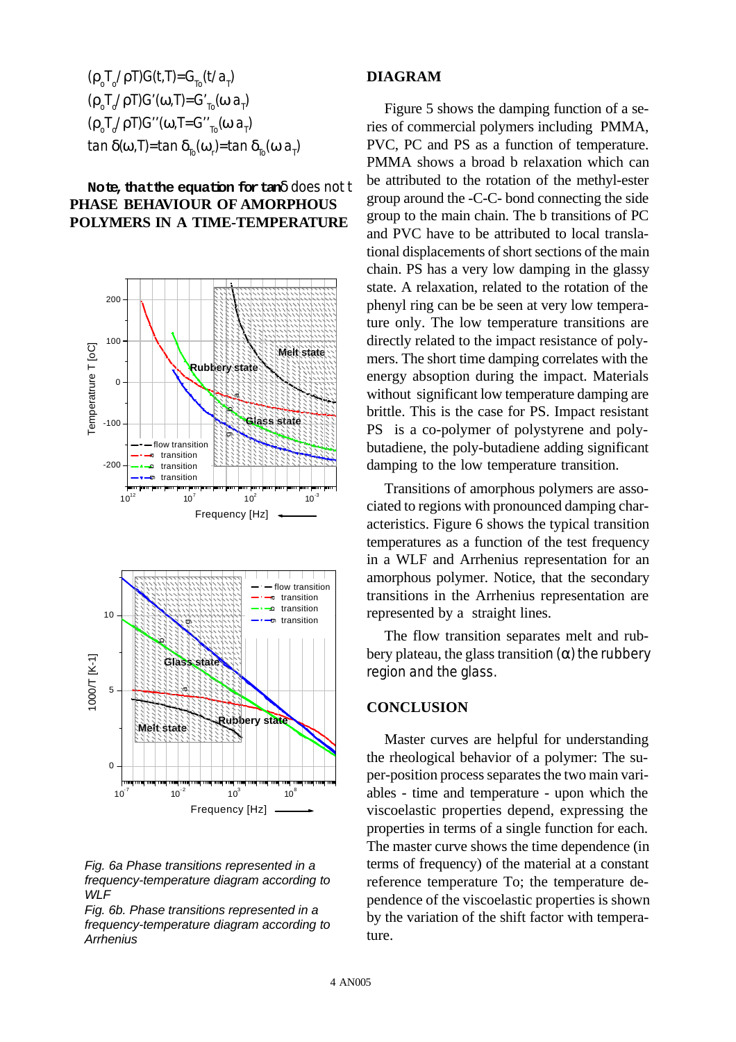$$
(\rho_0 T_0 / \rho T) G(t, T) = G_{T_0}(t/a_1)
$$
  
\n
$$
(\rho_0 T_0 / \rho T) G'(\omega, T) = G'_{T_0}(\omega a_1)
$$
  
\n
$$
(\rho_0 T_0 / \rho T) G''(\omega, T) = G''_{T_0}(\omega a_1)
$$
  
\ntan  $\delta(\omega, T)$  = tan  $\delta_{T_0}(\omega_1)$  = tan  $\delta_{T_0}(\omega a_1)$ 

### **Note, that the equation for tan**δ does not t **PHASE BEHAVIOUR OF AMORPHOUS POLYMERS IN A TIME-TEMPERATURE**







*Fig. 6b. Phase transitions represented in a frequency-temperature diagram according to Arrhenius*

#### **DIAGRAM**

Figure 5 shows the damping function of a series of commercial polymers including PMMA, PVC, PC and PS as a function of temperature. PMMA shows a broad b relaxation which can be attributed to the rotation of the methyl-ester group around the -C-C- bond connecting the side group to the main chain. The b transitions of PC and PVC have to be attributed to local translational displacements of short sections of the main chain. PS has a very low damping in the glassy state. A relaxation, related to the rotation of the phenyl ring can be be seen at very low temperature only. The low temperature transitions are directly related to the impact resistance of polymers. The short time damping correlates with the energy absoption during the impact. Materials without significant low temperature damping are brittle. This is the case for PS. Impact resistant PS is a co-polymer of polystyrene and polybutadiene, the poly-butadiene adding significant damping to the low temperature transition.

Transitions of amorphous polymers are associated to regions with pronounced damping characteristics. Figure 6 shows the typical transition temperatures as a function of the test frequency in a WLF and Arrhenius representation for an amorphous polymer. Notice, that the secondary transitions in the Arrhenius representation are represented by a straight lines.

The flow transition separates melt and rubbery plateau, the glass transition  $(α)$  the rubbery region and the glass.

#### **CONCLUSION**

Master curves are helpful for understanding the rheological behavior of a polymer: The super-position process separates the two main variables - time and temperature - upon which the viscoelastic properties depend, expressing the properties in terms of a single function for each. The master curve shows the time dependence (in terms of frequency) of the material at a constant reference temperature To; the temperature dependence of the viscoelastic properties is shown by the variation of the shift factor with temperature.